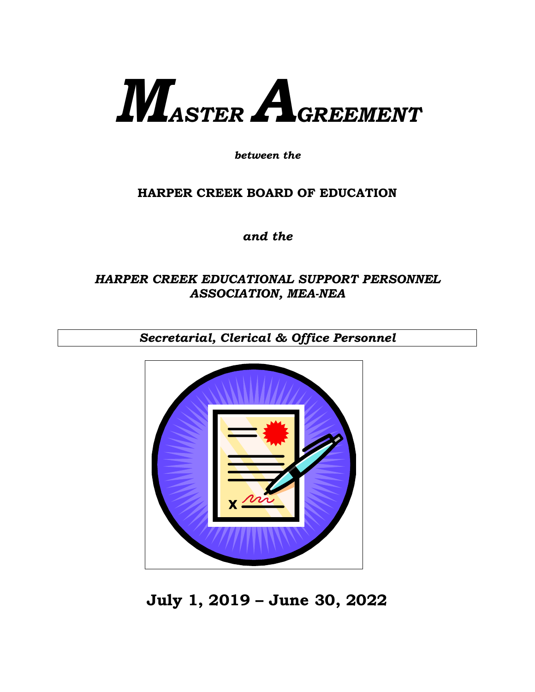# *MASTER AGREEMENT*

*between the*

# **HARPER CREEK BOARD OF EDUCATION**

*and the*

# *HARPER CREEK EDUCATIONAL SUPPORT PERSONNEL ASSOCIATION, MEA-NEA*

*Secretarial, Clerical & Office Personnel*



**July 1, 2019 – June 30, 2022**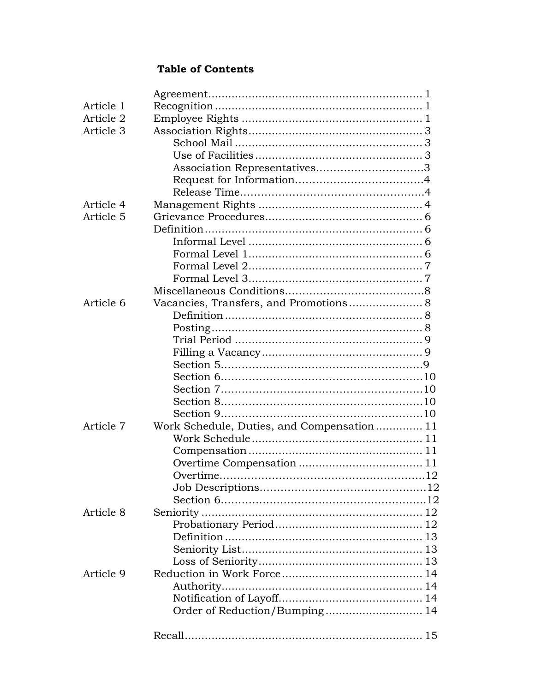## **Table of Contents**

| Article 1 |                                            |
|-----------|--------------------------------------------|
| Article 2 |                                            |
| Article 3 |                                            |
|           |                                            |
|           |                                            |
|           | Association Representatives3               |
|           |                                            |
|           |                                            |
| Article 4 |                                            |
| Article 5 |                                            |
|           |                                            |
|           |                                            |
|           |                                            |
|           |                                            |
|           |                                            |
|           |                                            |
| Article 6 |                                            |
|           |                                            |
|           |                                            |
|           |                                            |
|           |                                            |
|           |                                            |
|           |                                            |
|           |                                            |
|           |                                            |
|           |                                            |
| Article 7 | Work Schedule, Duties, and Compensation 11 |
|           |                                            |
|           |                                            |
|           |                                            |
|           |                                            |
|           |                                            |
|           |                                            |
| Article 8 |                                            |
|           |                                            |
|           |                                            |
|           |                                            |
|           |                                            |
| Article 9 |                                            |
|           |                                            |
|           |                                            |
|           | Order of Reduction/Bumping 14              |
|           |                                            |
|           |                                            |
|           |                                            |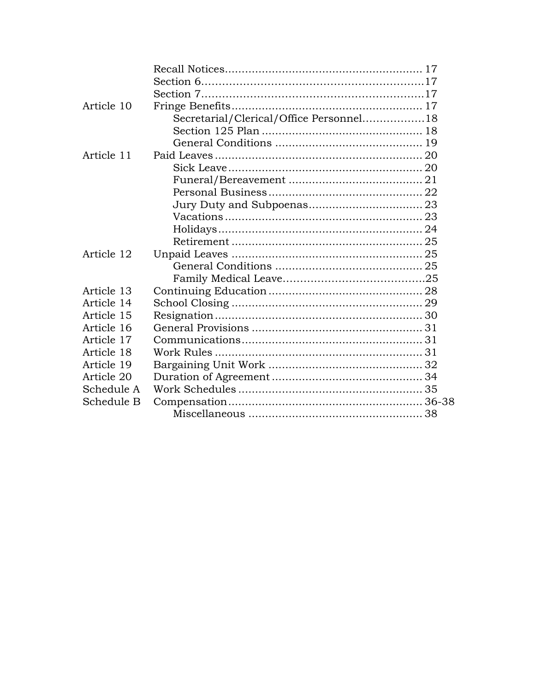| Article 10 |                                         |
|------------|-----------------------------------------|
|            | Secretarial/Clerical/Office Personnel18 |
|            |                                         |
|            |                                         |
| Article 11 |                                         |
|            |                                         |
|            |                                         |
|            |                                         |
|            |                                         |
|            |                                         |
|            |                                         |
|            |                                         |
| Article 12 |                                         |
|            |                                         |
|            |                                         |
| Article 13 |                                         |
| Article 14 |                                         |
| Article 15 |                                         |
| Article 16 |                                         |
| Article 17 |                                         |
| Article 18 |                                         |
| Article 19 |                                         |
| Article 20 |                                         |
| Schedule A |                                         |
| Schedule B |                                         |
|            |                                         |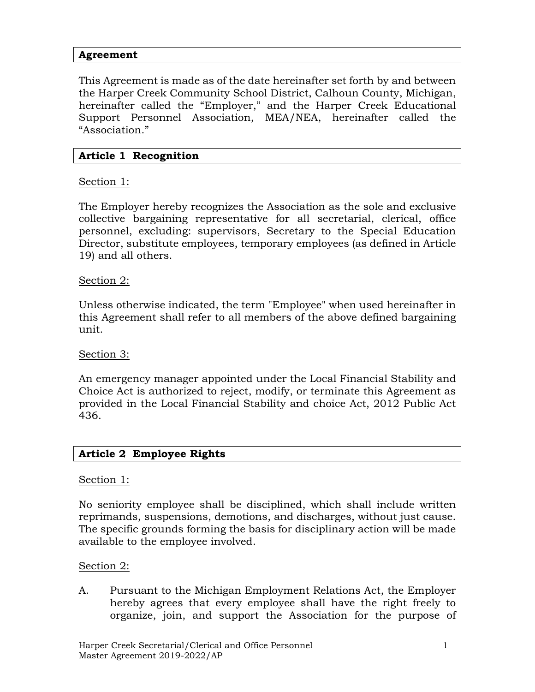#### **Agreement**

This Agreement is made as of the date hereinafter set forth by and between the Harper Creek Community School District, Calhoun County, Michigan, hereinafter called the "Employer," and the Harper Creek Educational Support Personnel Association, MEA/NEA, hereinafter called the "Association."

#### **Article 1 Recognition**

Section 1:

The Employer hereby recognizes the Association as the sole and exclusive collective bargaining representative for all secretarial, clerical, office personnel, excluding: supervisors, Secretary to the Special Education Director, substitute employees, temporary employees (as defined in Article 19) and all others.

#### Section 2:

Unless otherwise indicated, the term "Employee" when used hereinafter in this Agreement shall refer to all members of the above defined bargaining unit.

#### Section 3:

An emergency manager appointed under the Local Financial Stability and Choice Act is authorized to reject, modify, or terminate this Agreement as provided in the Local Financial Stability and choice Act, 2012 Public Act 436.

#### **Article 2 Employee Rights**

#### Section 1:

No seniority employee shall be disciplined, which shall include written reprimands, suspensions, demotions, and discharges, without just cause. The specific grounds forming the basis for disciplinary action will be made available to the employee involved.

#### Section 2:

A. Pursuant to the Michigan Employment Relations Act, the Employer hereby agrees that every employee shall have the right freely to organize, join, and support the Association for the purpose of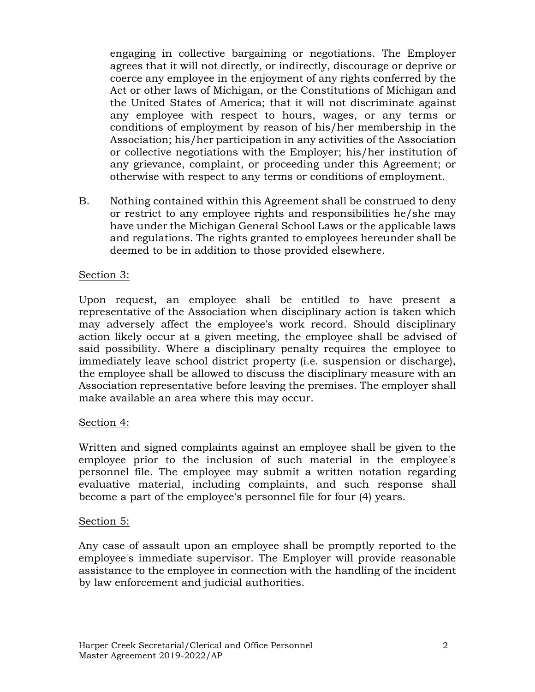engaging in collective bargaining or negotiations. The Employer agrees that it will not directly, or indirectly, discourage or deprive or coerce any employee in the enjoyment of any rights conferred by the Act or other laws of Michigan, or the Constitutions of Michigan and the United States of America; that it will not discriminate against any employee with respect to hours, wages, or any terms or conditions of employment by reason of his/her membership in the Association; his/her participation in any activities of the Association or collective negotiations with the Employer; his/her institution of any grievance, complaint, or proceeding under this Agreement; or otherwise with respect to any terms or conditions of employment.

B. Nothing contained within this Agreement shall be construed to deny or restrict to any employee rights and responsibilities he/she may have under the Michigan General School Laws or the applicable laws and regulations. The rights granted to employees hereunder shall be deemed to be in addition to those provided elsewhere.

#### Section 3:

Upon request, an employee shall be entitled to have present a representative of the Association when disciplinary action is taken which may adversely affect the employee's work record. Should disciplinary action likely occur at a given meeting, the employee shall be advised of said possibility. Where a disciplinary penalty requires the employee to immediately leave school district property (i.e. suspension or discharge), the employee shall be allowed to discuss the disciplinary measure with an Association representative before leaving the premises. The employer shall make available an area where this may occur.

#### Section 4:

Written and signed complaints against an employee shall be given to the employee prior to the inclusion of such material in the employee's personnel file. The employee may submit a written notation regarding evaluative material, including complaints, and such response shall become a part of the employee's personnel file for four (4) years.

#### Section 5:

Any case of assault upon an employee shall be promptly reported to the employee's immediate supervisor. The Employer will provide reasonable assistance to the employee in connection with the handling of the incident by law enforcement and judicial authorities.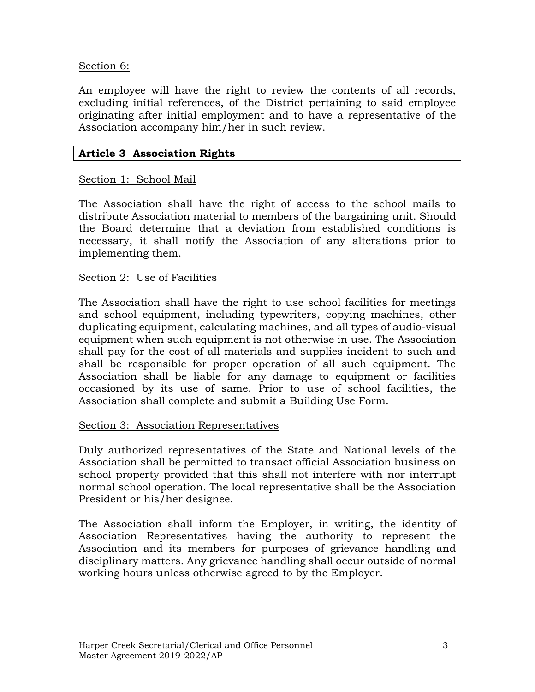#### Section 6:

An employee will have the right to review the contents of all records, excluding initial references, of the District pertaining to said employee originating after initial employment and to have a representative of the Association accompany him/her in such review.

#### **Article 3 Association Rights**

#### Section 1: School Mail

The Association shall have the right of access to the school mails to distribute Association material to members of the bargaining unit. Should the Board determine that a deviation from established conditions is necessary, it shall notify the Association of any alterations prior to implementing them.

#### Section 2: Use of Facilities

The Association shall have the right to use school facilities for meetings and school equipment, including typewriters, copying machines, other duplicating equipment, calculating machines, and all types of audio-visual equipment when such equipment is not otherwise in use. The Association shall pay for the cost of all materials and supplies incident to such and shall be responsible for proper operation of all such equipment. The Association shall be liable for any damage to equipment or facilities occasioned by its use of same. Prior to use of school facilities, the Association shall complete and submit a Building Use Form.

#### Section 3: Association Representatives

Duly authorized representatives of the State and National levels of the Association shall be permitted to transact official Association business on school property provided that this shall not interfere with nor interrupt normal school operation. The local representative shall be the Association President or his/her designee.

The Association shall inform the Employer, in writing, the identity of Association Representatives having the authority to represent the Association and its members for purposes of grievance handling and disciplinary matters. Any grievance handling shall occur outside of normal working hours unless otherwise agreed to by the Employer.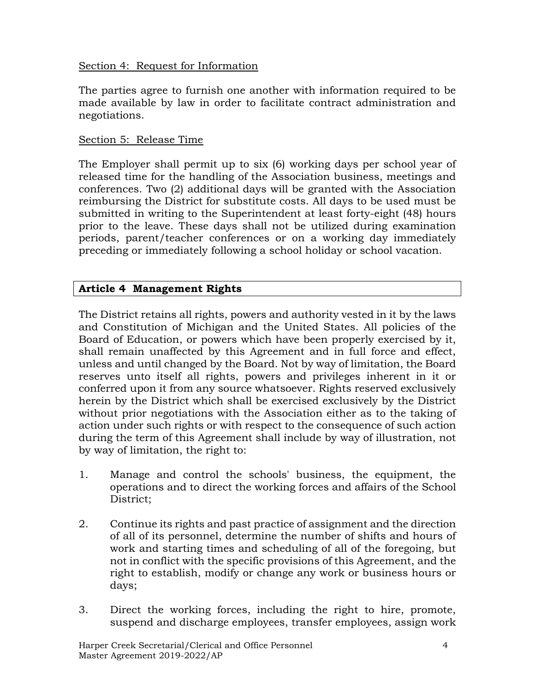#### Section 4: Request for Information

The parties agree to furnish one another with information required to be made available by law in order to facilitate contract administration and negotiations.

#### Section 5: Release Time

The Employer shall permit up to six (6) working days per school year of released time for the handling of the Association business, meetings and conferences. Two (2) additional days will be granted with the Association reimbursing the District for substitute costs. All days to be used must be submitted in writing to the Superintendent at least forty-eight (48) hours prior to the leave. These days shall not be utilized during examination periods, parent/teacher conferences or on a working day immediately preceding or immediately following a school holiday or school vacation.

## **Article 4 Management Rights**

The District retains all rights, powers and authority vested in it by the laws and Constitution of Michigan and the United States. All policies of the Board of Education, or powers which have been properly exercised by it, shall remain unaffected by this Agreement and in full force and effect, unless and until changed by the Board. Not by way of limitation, the Board reserves unto itself all rights, powers and privileges inherent in it or conferred upon it from any source whatsoever. Rights reserved exclusively herein by the District which shall be exercised exclusively by the District without prior negotiations with the Association either as to the taking of action under such rights or with respect to the consequence of such action during the term of this Agreement shall include by way of illustration, not by way of limitation, the right to:

- 1. Manage and control the schools' business, the equipment, the operations and to direct the working forces and affairs of the School District;
- 2. Continue its rights and past practice of assignment and the direction of all of its personnel, determine the number of shifts and hours of work and starting times and scheduling of all of the foregoing, but not in conflict with the specific provisions of this Agreement, and the right to establish, modify or change any work or business hours or days;
- 3. Direct the working forces, including the right to hire, promote, suspend and discharge employees, transfer employees, assign work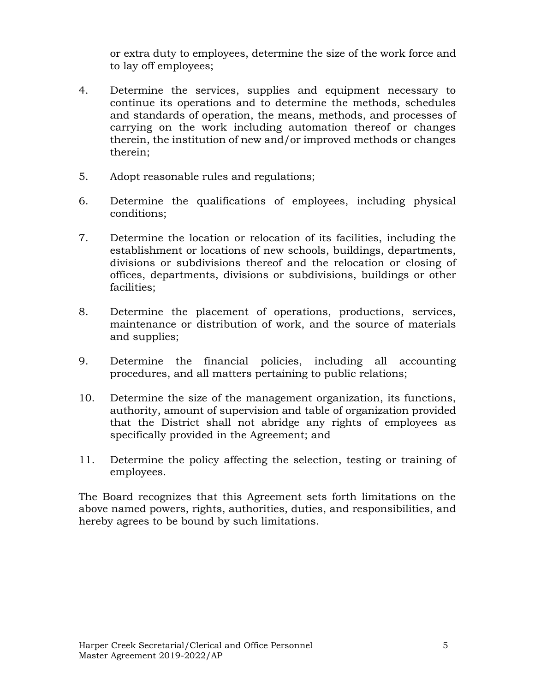or extra duty to employees, determine the size of the work force and to lay off employees;

- 4. Determine the services, supplies and equipment necessary to continue its operations and to determine the methods, schedules and standards of operation, the means, methods, and processes of carrying on the work including automation thereof or changes therein, the institution of new and/or improved methods or changes therein;
- 5. Adopt reasonable rules and regulations;
- 6. Determine the qualifications of employees, including physical conditions;
- 7. Determine the location or relocation of its facilities, including the establishment or locations of new schools, buildings, departments, divisions or subdivisions thereof and the relocation or closing of offices, departments, divisions or subdivisions, buildings or other facilities;
- 8. Determine the placement of operations, productions, services, maintenance or distribution of work, and the source of materials and supplies;
- 9. Determine the financial policies, including all accounting procedures, and all matters pertaining to public relations;
- 10. Determine the size of the management organization, its functions, authority, amount of supervision and table of organization provided that the District shall not abridge any rights of employees as specifically provided in the Agreement; and
- 11. Determine the policy affecting the selection, testing or training of employees.

The Board recognizes that this Agreement sets forth limitations on the above named powers, rights, authorities, duties, and responsibilities, and hereby agrees to be bound by such limitations.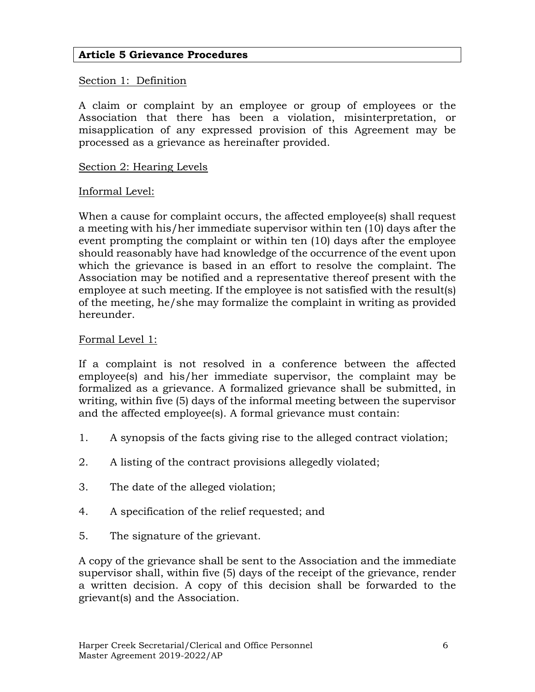#### **Article 5 Grievance Procedures**

#### Section 1: Definition

A claim or complaint by an employee or group of employees or the Association that there has been a violation, misinterpretation, or misapplication of any expressed provision of this Agreement may be processed as a grievance as hereinafter provided.

#### Section 2: Hearing Levels

#### Informal Level:

When a cause for complaint occurs, the affected employee(s) shall request a meeting with his/her immediate supervisor within ten (10) days after the event prompting the complaint or within ten (10) days after the employee should reasonably have had knowledge of the occurrence of the event upon which the grievance is based in an effort to resolve the complaint. The Association may be notified and a representative thereof present with the employee at such meeting. If the employee is not satisfied with the result(s) of the meeting, he/she may formalize the complaint in writing as provided hereunder.

#### Formal Level 1:

If a complaint is not resolved in a conference between the affected employee(s) and his/her immediate supervisor, the complaint may be formalized as a grievance. A formalized grievance shall be submitted, in writing, within five (5) days of the informal meeting between the supervisor and the affected employee(s). A formal grievance must contain:

- 1. A synopsis of the facts giving rise to the alleged contract violation;
- 2. A listing of the contract provisions allegedly violated;
- 3. The date of the alleged violation;
- 4. A specification of the relief requested; and
- 5. The signature of the grievant.

A copy of the grievance shall be sent to the Association and the immediate supervisor shall, within five (5) days of the receipt of the grievance, render a written decision. A copy of this decision shall be forwarded to the grievant(s) and the Association.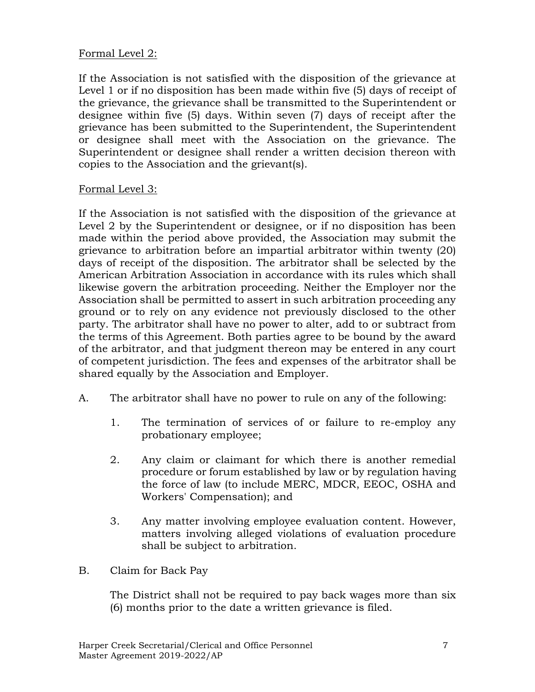## Formal Level 2:

If the Association is not satisfied with the disposition of the grievance at Level 1 or if no disposition has been made within five (5) days of receipt of the grievance, the grievance shall be transmitted to the Superintendent or designee within five (5) days. Within seven (7) days of receipt after the grievance has been submitted to the Superintendent, the Superintendent or designee shall meet with the Association on the grievance. The Superintendent or designee shall render a written decision thereon with copies to the Association and the grievant(s).

#### Formal Level 3:

If the Association is not satisfied with the disposition of the grievance at Level 2 by the Superintendent or designee, or if no disposition has been made within the period above provided, the Association may submit the grievance to arbitration before an impartial arbitrator within twenty (20) days of receipt of the disposition. The arbitrator shall be selected by the American Arbitration Association in accordance with its rules which shall likewise govern the arbitration proceeding. Neither the Employer nor the Association shall be permitted to assert in such arbitration proceeding any ground or to rely on any evidence not previously disclosed to the other party. The arbitrator shall have no power to alter, add to or subtract from the terms of this Agreement. Both parties agree to be bound by the award of the arbitrator, and that judgment thereon may be entered in any court of competent jurisdiction. The fees and expenses of the arbitrator shall be shared equally by the Association and Employer.

- A. The arbitrator shall have no power to rule on any of the following:
	- 1. The termination of services of or failure to re-employ any probationary employee;
	- 2. Any claim or claimant for which there is another remedial procedure or forum established by law or by regulation having the force of law (to include MERC, MDCR, EEOC, OSHA and Workers' Compensation); and
	- 3. Any matter involving employee evaluation content. However, matters involving alleged violations of evaluation procedure shall be subject to arbitration.
- B. Claim for Back Pay

The District shall not be required to pay back wages more than six (6) months prior to the date a written grievance is filed.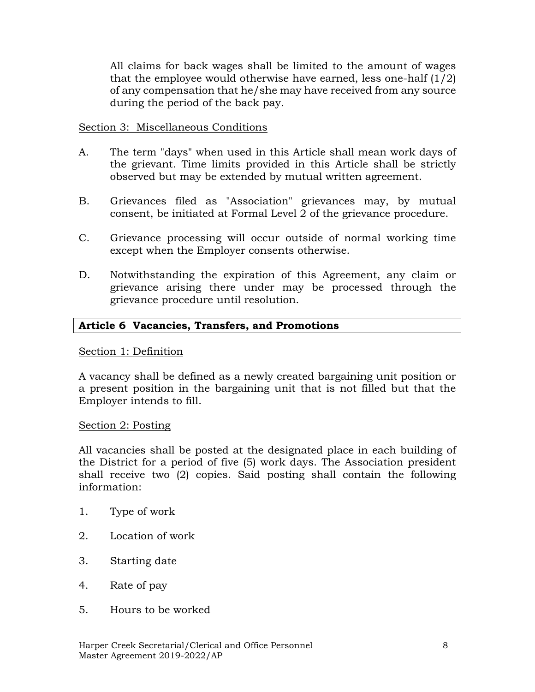All claims for back wages shall be limited to the amount of wages that the employee would otherwise have earned, less one-half  $(1/2)$ of any compensation that he/she may have received from any source during the period of the back pay.

#### Section 3: Miscellaneous Conditions

- A. The term "days" when used in this Article shall mean work days of the grievant. Time limits provided in this Article shall be strictly observed but may be extended by mutual written agreement.
- B. Grievances filed as "Association" grievances may, by mutual consent, be initiated at Formal Level 2 of the grievance procedure.
- C. Grievance processing will occur outside of normal working time except when the Employer consents otherwise.
- D. Notwithstanding the expiration of this Agreement, any claim or grievance arising there under may be processed through the grievance procedure until resolution.

#### **Article 6 Vacancies, Transfers, and Promotions**

#### Section 1: Definition

A vacancy shall be defined as a newly created bargaining unit position or a present position in the bargaining unit that is not filled but that the Employer intends to fill.

#### Section 2: Posting

All vacancies shall be posted at the designated place in each building of the District for a period of five (5) work days. The Association president shall receive two (2) copies. Said posting shall contain the following information:

- 1. Type of work
- 2. Location of work
- 3. Starting date
- 4. Rate of pay
- 5. Hours to be worked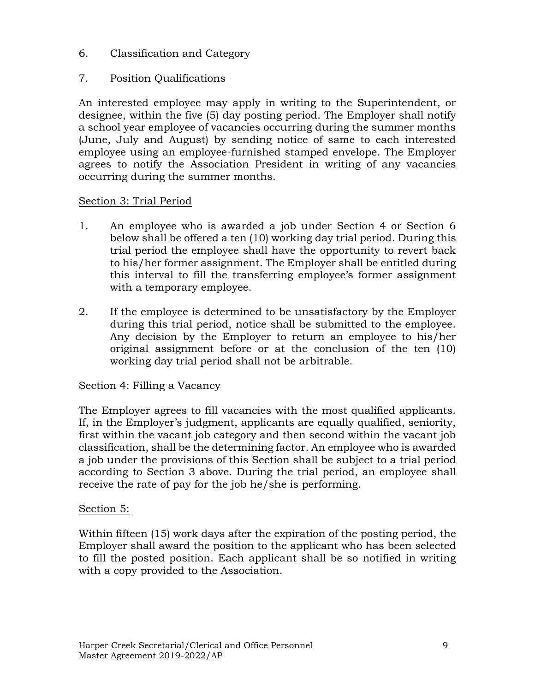6. Classification and Category

## 7. Position Qualifications

An interested employee may apply in writing to the Superintendent, or designee, within the five (5) day posting period. The Employer shall notify a school year employee of vacancies occurring during the summer months (June, July and August) by sending notice of same to each interested employee using an employee-furnished stamped envelope. The Employer agrees to notify the Association President in writing of any vacancies occurring during the summer months.

## Section 3: Trial Period

- 1. An employee who is awarded a job under Section 4 or Section 6 below shall be offered a ten (10) working day trial period. During this trial period the employee shall have the opportunity to revert back to his/her former assignment. The Employer shall be entitled during this interval to fill the transferring employee's former assignment with a temporary employee.
- 2. If the employee is determined to be unsatisfactory by the Employer during this trial period, notice shall be submitted to the employee. Any decision by the Employer to return an employee to his/her original assignment before or at the conclusion of the ten (10) working day trial period shall not be arbitrable.

## Section 4: Filling a Vacancy

The Employer agrees to fill vacancies with the most qualified applicants. If, in the Employer's judgment, applicants are equally qualified, seniority, first within the vacant job category and then second within the vacant job classification, shall be the determining factor. An employee who is awarded a job under the provisions of this Section shall be subject to a trial period according to Section 3 above. During the trial period, an employee shall receive the rate of pay for the job he/she is performing.

#### Section 5:

Within fifteen (15) work days after the expiration of the posting period, the Employer shall award the position to the applicant who has been selected to fill the posted position. Each applicant shall be so notified in writing with a copy provided to the Association.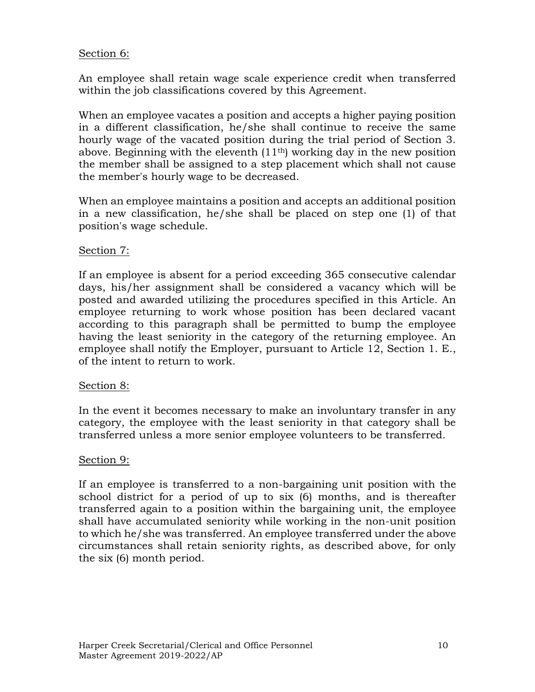#### Section 6:

An employee shall retain wage scale experience credit when transferred within the job classifications covered by this Agreement.

When an employee vacates a position and accepts a higher paying position in a different classification, he/she shall continue to receive the same hourly wage of the vacated position during the trial period of Section 3. above. Beginning with the eleventh (11th) working day in the new position the member shall be assigned to a step placement which shall not cause the member's hourly wage to be decreased.

When an employee maintains a position and accepts an additional position in a new classification, he/she shall be placed on step one (1) of that position's wage schedule.

#### Section 7:

If an employee is absent for a period exceeding 365 consecutive calendar days, his/her assignment shall be considered a vacancy which will be posted and awarded utilizing the procedures specified in this Article. An employee returning to work whose position has been declared vacant according to this paragraph shall be permitted to bump the employee having the least seniority in the category of the returning employee. An employee shall notify the Employer, pursuant to Article 12, Section 1. E., of the intent to return to work.

#### Section 8:

In the event it becomes necessary to make an involuntary transfer in any category, the employee with the least seniority in that category shall be transferred unless a more senior employee volunteers to be transferred.

#### Section 9:

If an employee is transferred to a non-bargaining unit position with the school district for a period of up to six (6) months, and is thereafter transferred again to a position within the bargaining unit, the employee shall have accumulated seniority while working in the non-unit position to which he/she was transferred. An employee transferred under the above circumstances shall retain seniority rights, as described above, for only the six (6) month period.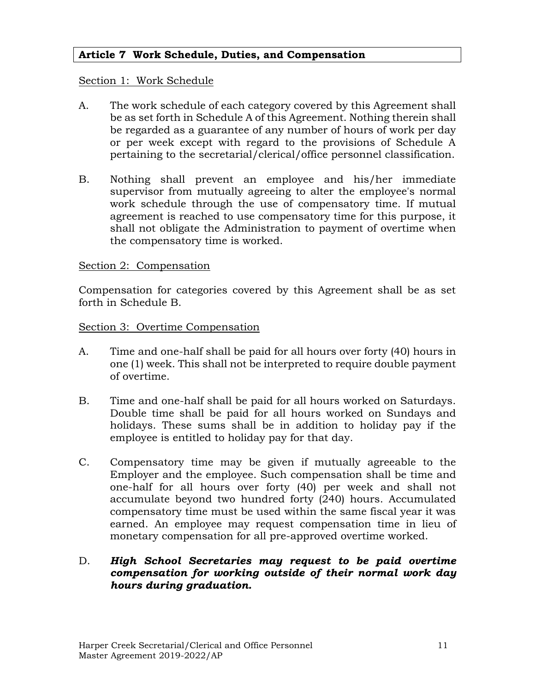#### **Article 7 Work Schedule, Duties, and Compensation**

#### Section 1: Work Schedule

- A. The work schedule of each category covered by this Agreement shall be as set forth in Schedule A of this Agreement. Nothing therein shall be regarded as a guarantee of any number of hours of work per day or per week except with regard to the provisions of Schedule A pertaining to the secretarial/clerical/office personnel classification.
- B. Nothing shall prevent an employee and his/her immediate supervisor from mutually agreeing to alter the employee's normal work schedule through the use of compensatory time. If mutual agreement is reached to use compensatory time for this purpose, it shall not obligate the Administration to payment of overtime when the compensatory time is worked.

#### Section 2: Compensation

Compensation for categories covered by this Agreement shall be as set forth in Schedule B.

#### Section 3: Overtime Compensation

- A. Time and one-half shall be paid for all hours over forty (40) hours in one (1) week. This shall not be interpreted to require double payment of overtime.
- B. Time and one-half shall be paid for all hours worked on Saturdays. Double time shall be paid for all hours worked on Sundays and holidays. These sums shall be in addition to holiday pay if the employee is entitled to holiday pay for that day.
- C. Compensatory time may be given if mutually agreeable to the Employer and the employee. Such compensation shall be time and one-half for all hours over forty (40) per week and shall not accumulate beyond two hundred forty (240) hours. Accumulated compensatory time must be used within the same fiscal year it was earned. An employee may request compensation time in lieu of monetary compensation for all pre-approved overtime worked.

#### D. *High School Secretaries may request to be paid overtime compensation for working outside of their normal work day hours during graduation.*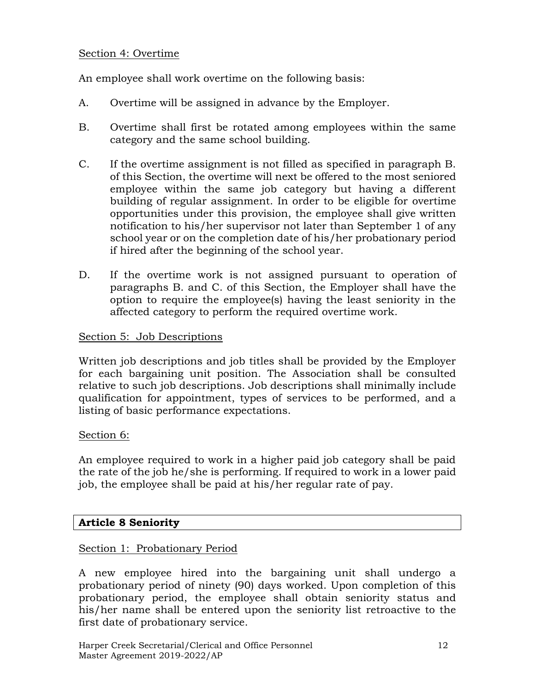#### Section 4: Overtime

An employee shall work overtime on the following basis:

- A. Overtime will be assigned in advance by the Employer.
- B. Overtime shall first be rotated among employees within the same category and the same school building.
- C. If the overtime assignment is not filled as specified in paragraph B. of this Section, the overtime will next be offered to the most seniored employee within the same job category but having a different building of regular assignment. In order to be eligible for overtime opportunities under this provision, the employee shall give written notification to his/her supervisor not later than September 1 of any school year or on the completion date of his/her probationary period if hired after the beginning of the school year.
- D. If the overtime work is not assigned pursuant to operation of paragraphs B. and C. of this Section, the Employer shall have the option to require the employee(s) having the least seniority in the affected category to perform the required overtime work.

#### Section 5: Job Descriptions

Written job descriptions and job titles shall be provided by the Employer for each bargaining unit position. The Association shall be consulted relative to such job descriptions. Job descriptions shall minimally include qualification for appointment, types of services to be performed, and a listing of basic performance expectations.

#### Section 6:

An employee required to work in a higher paid job category shall be paid the rate of the job he/she is performing. If required to work in a lower paid job, the employee shall be paid at his/her regular rate of pay.

#### **Article 8 Seniority**

#### Section 1: Probationary Period

A new employee hired into the bargaining unit shall undergo a probationary period of ninety (90) days worked. Upon completion of this probationary period, the employee shall obtain seniority status and his/her name shall be entered upon the seniority list retroactive to the first date of probationary service.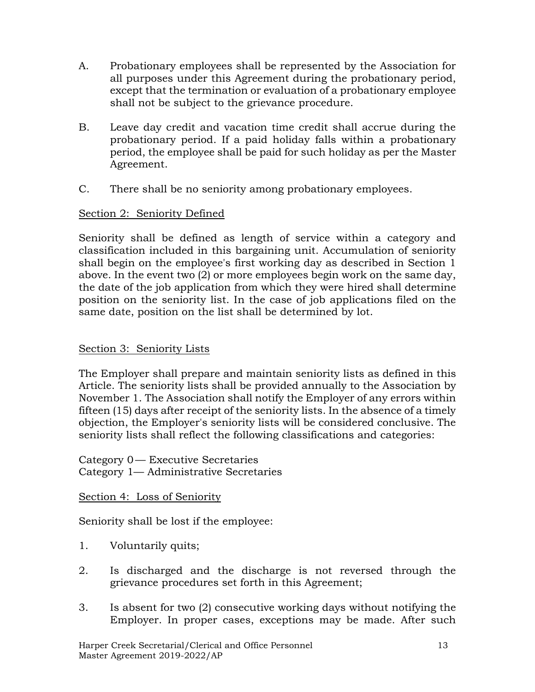- A. Probationary employees shall be represented by the Association for all purposes under this Agreement during the probationary period, except that the termination or evaluation of a probationary employee shall not be subject to the grievance procedure.
- B. Leave day credit and vacation time credit shall accrue during the probationary period. If a paid holiday falls within a probationary period, the employee shall be paid for such holiday as per the Master Agreement.
- C. There shall be no seniority among probationary employees.

#### Section 2: Seniority Defined

Seniority shall be defined as length of service within a category and classification included in this bargaining unit. Accumulation of seniority shall begin on the employee's first working day as described in Section 1 above. In the event two (2) or more employees begin work on the same day, the date of the job application from which they were hired shall determine position on the seniority list. In the case of job applications filed on the same date, position on the list shall be determined by lot.

#### Section 3: Seniority Lists

The Employer shall prepare and maintain seniority lists as defined in this Article. The seniority lists shall be provided annually to the Association by November 1. The Association shall notify the Employer of any errors within fifteen (15) days after receipt of the seniority lists. In the absence of a timely objection, the Employer's seniority lists will be considered conclusive. The seniority lists shall reflect the following classifications and categories:

Category 0— Executive Secretaries Category 1— Administrative Secretaries

Section 4: Loss of Seniority

Seniority shall be lost if the employee:

- 1. Voluntarily quits;
- 2. Is discharged and the discharge is not reversed through the grievance procedures set forth in this Agreement;
- 3. Is absent for two (2) consecutive working days without notifying the Employer. In proper cases, exceptions may be made. After such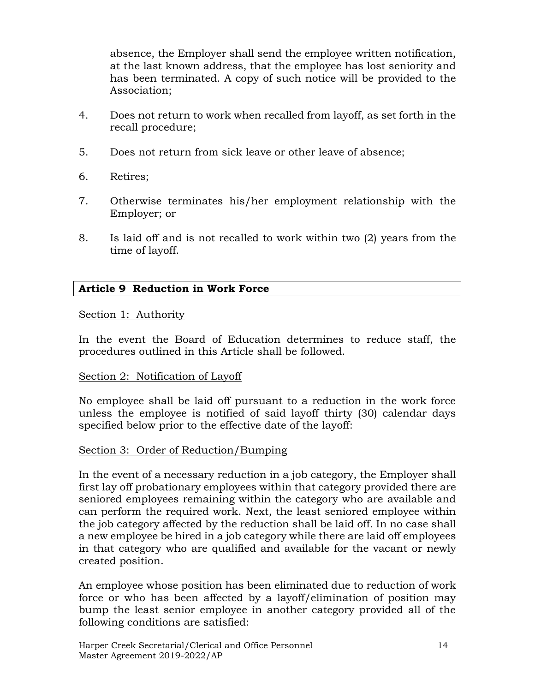absence, the Employer shall send the employee written notification, at the last known address, that the employee has lost seniority and has been terminated. A copy of such notice will be provided to the Association;

- 4. Does not return to work when recalled from layoff, as set forth in the recall procedure;
- 5. Does not return from sick leave or other leave of absence;
- 6. Retires;
- 7. Otherwise terminates his/her employment relationship with the Employer; or
- 8. Is laid off and is not recalled to work within two (2) years from the time of layoff.

#### **Article 9 Reduction in Work Force**

#### Section 1: Authority

In the event the Board of Education determines to reduce staff, the procedures outlined in this Article shall be followed.

#### Section 2: Notification of Layoff

No employee shall be laid off pursuant to a reduction in the work force unless the employee is notified of said layoff thirty (30) calendar days specified below prior to the effective date of the layoff:

#### Section 3: Order of Reduction/Bumping

In the event of a necessary reduction in a job category, the Employer shall first lay off probationary employees within that category provided there are seniored employees remaining within the category who are available and can perform the required work. Next, the least seniored employee within the job category affected by the reduction shall be laid off. In no case shall a new employee be hired in a job category while there are laid off employees in that category who are qualified and available for the vacant or newly created position.

An employee whose position has been eliminated due to reduction of work force or who has been affected by a layoff/elimination of position may bump the least senior employee in another category provided all of the following conditions are satisfied: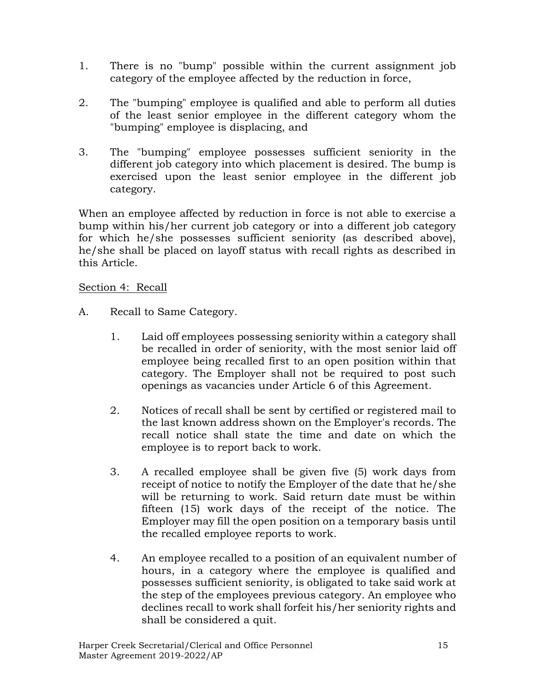- 1. There is no "bump" possible within the current assignment job category of the employee affected by the reduction in force,
- 2. The "bumping" employee is qualified and able to perform all duties of the least senior employee in the different category whom the "bumping" employee is displacing, and
- 3. The "bumping" employee possesses sufficient seniority in the different job category into which placement is desired. The bump is exercised upon the least senior employee in the different job category.

When an employee affected by reduction in force is not able to exercise a bump within his/her current job category or into a different job category for which he/she possesses sufficient seniority (as described above), he/she shall be placed on layoff status with recall rights as described in this Article.

#### Section 4: Recall

- A. Recall to Same Category.
	- 1. Laid off employees possessing seniority within a category shall be recalled in order of seniority, with the most senior laid off employee being recalled first to an open position within that category. The Employer shall not be required to post such openings as vacancies under Article 6 of this Agreement.
	- 2. Notices of recall shall be sent by certified or registered mail to the last known address shown on the Employer's records. The recall notice shall state the time and date on which the employee is to report back to work.
	- 3. A recalled employee shall be given five (5) work days from receipt of notice to notify the Employer of the date that he/she will be returning to work. Said return date must be within fifteen (15) work days of the receipt of the notice. The Employer may fill the open position on a temporary basis until the recalled employee reports to work.
	- 4. An employee recalled to a position of an equivalent number of hours, in a category where the employee is qualified and possesses sufficient seniority, is obligated to take said work at the step of the employees previous category. An employee who declines recall to work shall forfeit his/her seniority rights and shall be considered a quit.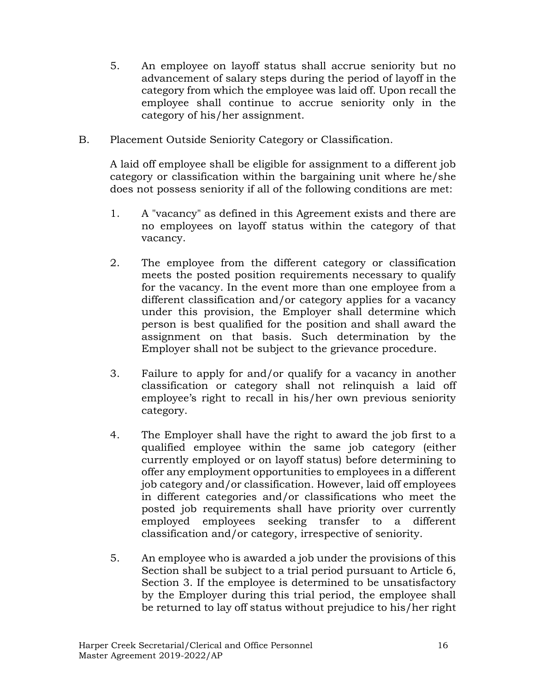- 5. An employee on layoff status shall accrue seniority but no advancement of salary steps during the period of layoff in the category from which the employee was laid off. Upon recall the employee shall continue to accrue seniority only in the category of his/her assignment.
- B. Placement Outside Seniority Category or Classification.

A laid off employee shall be eligible for assignment to a different job category or classification within the bargaining unit where he/she does not possess seniority if all of the following conditions are met:

- 1. A "vacancy" as defined in this Agreement exists and there are no employees on layoff status within the category of that vacancy.
- 2. The employee from the different category or classification meets the posted position requirements necessary to qualify for the vacancy. In the event more than one employee from a different classification and/or category applies for a vacancy under this provision, the Employer shall determine which person is best qualified for the position and shall award the assignment on that basis. Such determination by the Employer shall not be subject to the grievance procedure.
- 3. Failure to apply for and/or qualify for a vacancy in another classification or category shall not relinquish a laid off employee's right to recall in his/her own previous seniority category.
- 4. The Employer shall have the right to award the job first to a qualified employee within the same job category (either currently employed or on layoff status) before determining to offer any employment opportunities to employees in a different job category and/or classification. However, laid off employees in different categories and/or classifications who meet the posted job requirements shall have priority over currently employed employees seeking transfer to a different classification and/or category, irrespective of seniority.
- 5. An employee who is awarded a job under the provisions of this Section shall be subject to a trial period pursuant to Article 6, Section 3. If the employee is determined to be unsatisfactory by the Employer during this trial period, the employee shall be returned to lay off status without prejudice to his/her right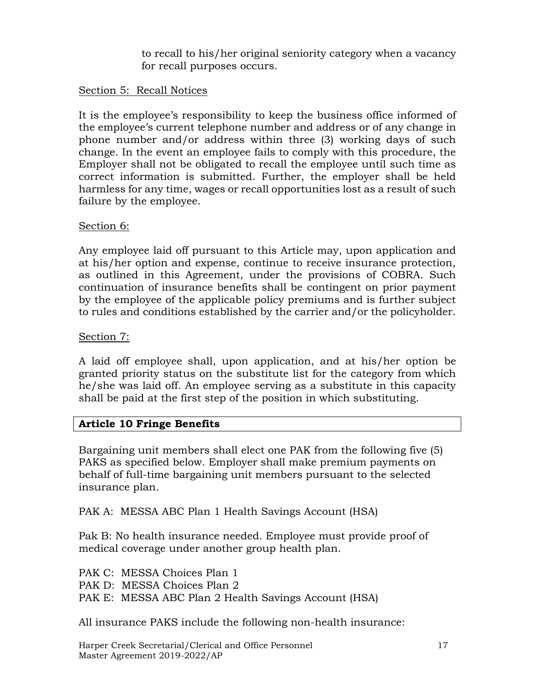to recall to his/her original seniority category when a vacancy for recall purposes occurs.

#### Section 5: Recall Notices

It is the employee's responsibility to keep the business office informed of the employee's current telephone number and address or of any change in phone number and/or address within three (3) working days of such change. In the event an employee fails to comply with this procedure, the Employer shall not be obligated to recall the employee until such time as correct information is submitted. Further, the employer shall be held harmless for any time, wages or recall opportunities lost as a result of such failure by the employee.

#### Section 6:

Any employee laid off pursuant to this Article may, upon application and at his/her option and expense, continue to receive insurance protection, as outlined in this Agreement, under the provisions of COBRA. Such continuation of insurance benefits shall be contingent on prior payment by the employee of the applicable policy premiums and is further subject to rules and conditions established by the carrier and/or the policyholder.

#### Section 7:

A laid off employee shall, upon application, and at his/her option be granted priority status on the substitute list for the category from which he/she was laid off. An employee serving as a substitute in this capacity shall be paid at the first step of the position in which substituting.

## **Article 10 Fringe Benefits**

Bargaining unit members shall elect one PAK from the following five (5) PAKS as specified below. Employer shall make premium payments on behalf of full-time bargaining unit members pursuant to the selected insurance plan.

PAK A: MESSA ABC Plan 1 Health Savings Account (HSA)

Pak B: No health insurance needed. Employee must provide proof of medical coverage under another group health plan.

PAK C: MESSA Choices Plan 1 PAK D: MESSA Choices Plan 2 PAK E: MESSA ABC Plan 2 Health Savings Account (HSA)

All insurance PAKS include the following non-health insurance: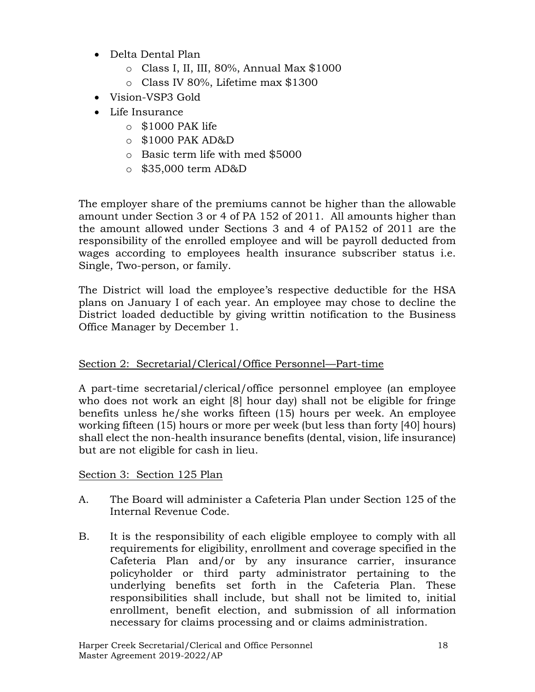- Delta Dental Plan
	- o Class I, II, III, 80%, Annual Max \$1000
	- o Class IV 80%, Lifetime max \$1300
- Vision-VSP3 Gold
- Life Insurance
	- $\circ$  \$1000 PAK life
	- o \$1000 PAK AD&D
	- o Basic term life with med \$5000
	- o \$35,000 term AD&D

The employer share of the premiums cannot be higher than the allowable amount under Section 3 or 4 of PA 152 of 2011. All amounts higher than the amount allowed under Sections 3 and 4 of PA152 of 2011 are the responsibility of the enrolled employee and will be payroll deducted from wages according to employees health insurance subscriber status i.e. Single, Two-person, or family.

The District will load the employee's respective deductible for the HSA plans on January I of each year. An employee may chose to decline the District loaded deductible by giving writtin notification to the Business Office Manager by December 1.

## Section 2: Secretarial/Clerical/Office Personnel—Part-time

A part-time secretarial/clerical/office personnel employee (an employee who does not work an eight [8] hour day) shall not be eligible for fringe benefits unless he/she works fifteen (15) hours per week. An employee working fifteen (15) hours or more per week (but less than forty [40] hours) shall elect the non-health insurance benefits (dental, vision, life insurance) but are not eligible for cash in lieu.

Section 3: Section 125 Plan

- A. The Board will administer a Cafeteria Plan under Section 125 of the Internal Revenue Code.
- B. It is the responsibility of each eligible employee to comply with all requirements for eligibility, enrollment and coverage specified in the Cafeteria Plan and/or by any insurance carrier, insurance policyholder or third party administrator pertaining to the underlying benefits set forth in the Cafeteria Plan. These responsibilities shall include, but shall not be limited to, initial enrollment, benefit election, and submission of all information necessary for claims processing and or claims administration.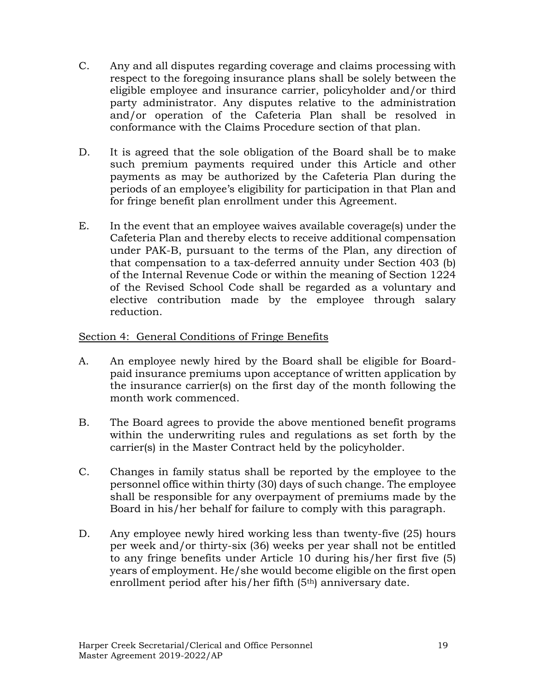- C. Any and all disputes regarding coverage and claims processing with respect to the foregoing insurance plans shall be solely between the eligible employee and insurance carrier, policyholder and/or third party administrator. Any disputes relative to the administration and/or operation of the Cafeteria Plan shall be resolved in conformance with the Claims Procedure section of that plan.
- D. It is agreed that the sole obligation of the Board shall be to make such premium payments required under this Article and other payments as may be authorized by the Cafeteria Plan during the periods of an employee's eligibility for participation in that Plan and for fringe benefit plan enrollment under this Agreement.
- E. In the event that an employee waives available coverage(s) under the Cafeteria Plan and thereby elects to receive additional compensation under PAK-B, pursuant to the terms of the Plan, any direction of that compensation to a tax-deferred annuity under Section 403 (b) of the Internal Revenue Code or within the meaning of Section 1224 of the Revised School Code shall be regarded as a voluntary and elective contribution made by the employee through salary reduction.

## Section 4: General Conditions of Fringe Benefits

- A. An employee newly hired by the Board shall be eligible for Boardpaid insurance premiums upon acceptance of written application by the insurance carrier(s) on the first day of the month following the month work commenced.
- B. The Board agrees to provide the above mentioned benefit programs within the underwriting rules and regulations as set forth by the carrier(s) in the Master Contract held by the policyholder.
- C. Changes in family status shall be reported by the employee to the personnel office within thirty (30) days of such change. The employee shall be responsible for any overpayment of premiums made by the Board in his/her behalf for failure to comply with this paragraph.
- D. Any employee newly hired working less than twenty-five (25) hours per week and/or thirty-six (36) weeks per year shall not be entitled to any fringe benefits under Article 10 during his/her first five (5) years of employment. He/she would become eligible on the first open enrollment period after his/her fifth (5<sup>th</sup>) anniversary date.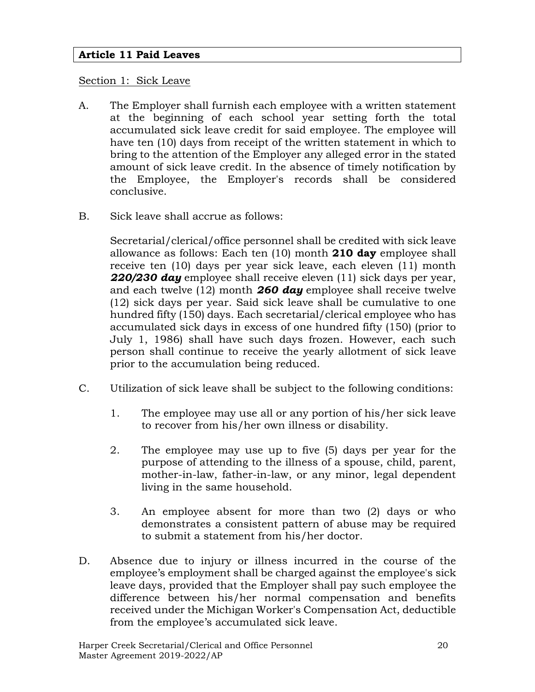#### **Article 11 Paid Leaves**

#### Section 1: Sick Leave

- A. The Employer shall furnish each employee with a written statement at the beginning of each school year setting forth the total accumulated sick leave credit for said employee. The employee will have ten (10) days from receipt of the written statement in which to bring to the attention of the Employer any alleged error in the stated amount of sick leave credit. In the absence of timely notification by the Employee, the Employer's records shall be considered conclusive.
- B. Sick leave shall accrue as follows:

Secretarial/clerical/office personnel shall be credited with sick leave allowance as follows: Each ten (10) month **210 day** employee shall receive ten (10) days per year sick leave, each eleven (11) month *220/230 day* employee shall receive eleven (11) sick days per year, and each twelve (12) month *260 day* employee shall receive twelve (12) sick days per year. Said sick leave shall be cumulative to one hundred fifty (150) days. Each secretarial/clerical employee who has accumulated sick days in excess of one hundred fifty (150) (prior to July 1, 1986) shall have such days frozen. However, each such person shall continue to receive the yearly allotment of sick leave prior to the accumulation being reduced.

- C. Utilization of sick leave shall be subject to the following conditions:
	- 1. The employee may use all or any portion of his/her sick leave to recover from his/her own illness or disability.
	- 2. The employee may use up to five (5) days per year for the purpose of attending to the illness of a spouse, child, parent, mother-in-law, father-in-law, or any minor, legal dependent living in the same household.
	- 3. An employee absent for more than two (2) days or who demonstrates a consistent pattern of abuse may be required to submit a statement from his/her doctor.
- D. Absence due to injury or illness incurred in the course of the employee's employment shall be charged against the employee's sick leave days, provided that the Employer shall pay such employee the difference between his/her normal compensation and benefits received under the Michigan Worker's Compensation Act, deductible from the employee's accumulated sick leave.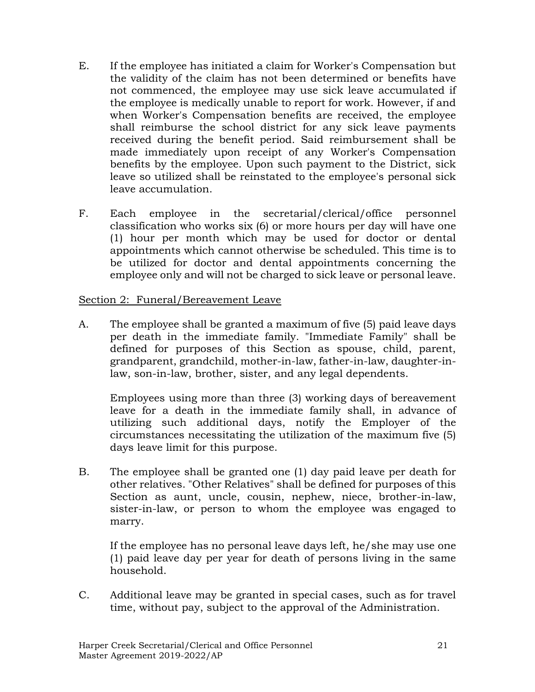- E. If the employee has initiated a claim for Worker's Compensation but the validity of the claim has not been determined or benefits have not commenced, the employee may use sick leave accumulated if the employee is medically unable to report for work. However, if and when Worker's Compensation benefits are received, the employee shall reimburse the school district for any sick leave payments received during the benefit period. Said reimbursement shall be made immediately upon receipt of any Worker's Compensation benefits by the employee. Upon such payment to the District, sick leave so utilized shall be reinstated to the employee's personal sick leave accumulation.
- F. Each employee in the secretarial/clerical/office personnel classification who works six (6) or more hours per day will have one (1) hour per month which may be used for doctor or dental appointments which cannot otherwise be scheduled. This time is to be utilized for doctor and dental appointments concerning the employee only and will not be charged to sick leave or personal leave.

#### Section 2: Funeral/Bereavement Leave

A. The employee shall be granted a maximum of five (5) paid leave days per death in the immediate family. "Immediate Family" shall be defined for purposes of this Section as spouse, child, parent, grandparent, grandchild, mother-in-law, father-in-law, daughter-inlaw, son-in-law, brother, sister, and any legal dependents.

Employees using more than three (3) working days of bereavement leave for a death in the immediate family shall, in advance of utilizing such additional days, notify the Employer of the circumstances necessitating the utilization of the maximum five (5) days leave limit for this purpose.

B. The employee shall be granted one (1) day paid leave per death for other relatives. "Other Relatives" shall be defined for purposes of this Section as aunt, uncle, cousin, nephew, niece, brother-in-law, sister-in-law, or person to whom the employee was engaged to marry.

If the employee has no personal leave days left, he/she may use one (1) paid leave day per year for death of persons living in the same household.

C. Additional leave may be granted in special cases, such as for travel time, without pay, subject to the approval of the Administration.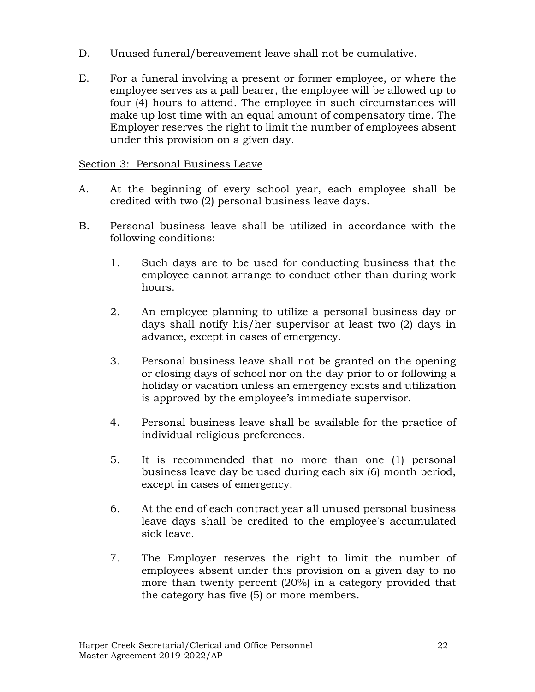- D. Unused funeral/bereavement leave shall not be cumulative.
- E. For a funeral involving a present or former employee, or where the employee serves as a pall bearer, the employee will be allowed up to four (4) hours to attend. The employee in such circumstances will make up lost time with an equal amount of compensatory time. The Employer reserves the right to limit the number of employees absent under this provision on a given day.

#### Section 3: Personal Business Leave

- A. At the beginning of every school year, each employee shall be credited with two (2) personal business leave days.
- B. Personal business leave shall be utilized in accordance with the following conditions:
	- 1. Such days are to be used for conducting business that the employee cannot arrange to conduct other than during work hours.
	- 2. An employee planning to utilize a personal business day or days shall notify his/her supervisor at least two (2) days in advance, except in cases of emergency.
	- 3. Personal business leave shall not be granted on the opening or closing days of school nor on the day prior to or following a holiday or vacation unless an emergency exists and utilization is approved by the employee's immediate supervisor.
	- 4. Personal business leave shall be available for the practice of individual religious preferences.
	- 5. It is recommended that no more than one (1) personal business leave day be used during each six (6) month period, except in cases of emergency.
	- 6. At the end of each contract year all unused personal business leave days shall be credited to the employee's accumulated sick leave.
	- 7. The Employer reserves the right to limit the number of employees absent under this provision on a given day to no more than twenty percent (20%) in a category provided that the category has five (5) or more members.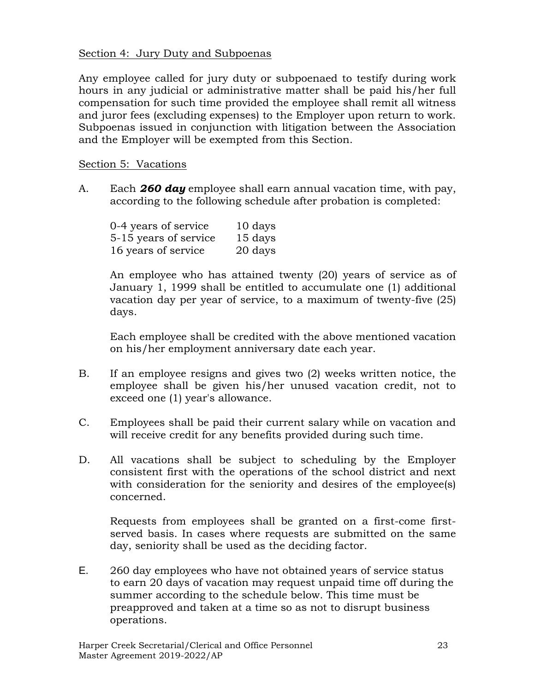#### Section 4: Jury Duty and Subpoenas

Any employee called for jury duty or subpoenaed to testify during work hours in any judicial or administrative matter shall be paid his/her full compensation for such time provided the employee shall remit all witness and juror fees (excluding expenses) to the Employer upon return to work. Subpoenas issued in conjunction with litigation between the Association and the Employer will be exempted from this Section.

#### Section 5: Vacations

A. Each *260 day* employee shall earn annual vacation time, with pay, according to the following schedule after probation is completed:

| 0-4 years of service  | 10 days |
|-----------------------|---------|
| 5-15 years of service | 15 days |
| 16 years of service   | 20 days |

An employee who has attained twenty (20) years of service as of January 1, 1999 shall be entitled to accumulate one (1) additional vacation day per year of service, to a maximum of twenty-five (25) days.

Each employee shall be credited with the above mentioned vacation on his/her employment anniversary date each year.

- B. If an employee resigns and gives two (2) weeks written notice, the employee shall be given his/her unused vacation credit, not to exceed one (1) year's allowance.
- C. Employees shall be paid their current salary while on vacation and will receive credit for any benefits provided during such time.
- D. All vacations shall be subject to scheduling by the Employer consistent first with the operations of the school district and next with consideration for the seniority and desires of the employee(s) concerned.

Requests from employees shall be granted on a first-come firstserved basis. In cases where requests are submitted on the same day, seniority shall be used as the deciding factor.

E. 260 day employees who have not obtained years of service status to earn 20 days of vacation may request unpaid time off during the summer according to the schedule below. This time must be preapproved and taken at a time so as not to disrupt business operations.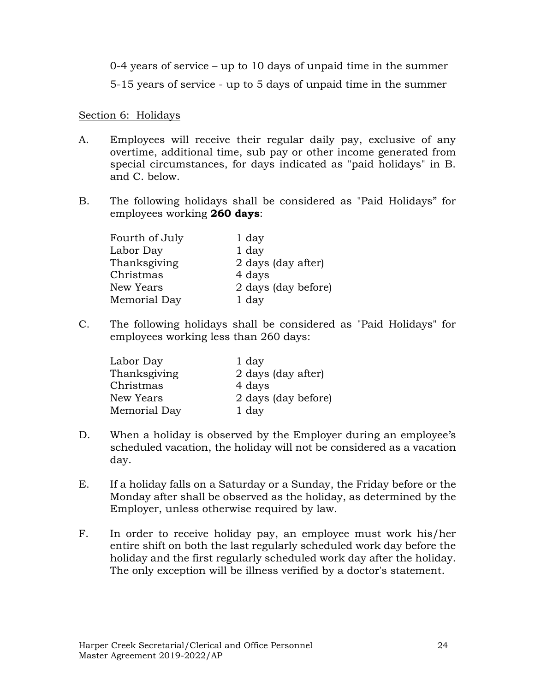0-4 years of service – up to 10 days of unpaid time in the summer

5-15 years of service - up to 5 days of unpaid time in the summer

#### Section 6: Holidays

- A. Employees will receive their regular daily pay, exclusive of any overtime, additional time, sub pay or other income generated from special circumstances, for days indicated as "paid holidays" in B. and C. below.
- B. The following holidays shall be considered as "Paid Holidays" for employees working **260 days**:

| Fourth of July | 1 day               |
|----------------|---------------------|
| Labor Day      | 1 day               |
| Thanksgiving   | 2 days (day after)  |
| Christmas      | 4 days              |
| New Years      | 2 days (day before) |
| Memorial Day   | 1 day               |

C. The following holidays shall be considered as "Paid Holidays" for employees working less than 260 days:

| Labor Day    | 1 day               |
|--------------|---------------------|
| Thanksgiving | 2 days (day after)  |
| Christmas    | 4 days              |
| New Years    | 2 days (day before) |
| Memorial Day | 1 day               |

- D. When a holiday is observed by the Employer during an employee's scheduled vacation, the holiday will not be considered as a vacation day.
- E. If a holiday falls on a Saturday or a Sunday, the Friday before or the Monday after shall be observed as the holiday, as determined by the Employer, unless otherwise required by law.
- F. In order to receive holiday pay, an employee must work his/her entire shift on both the last regularly scheduled work day before the holiday and the first regularly scheduled work day after the holiday. The only exception will be illness verified by a doctor's statement.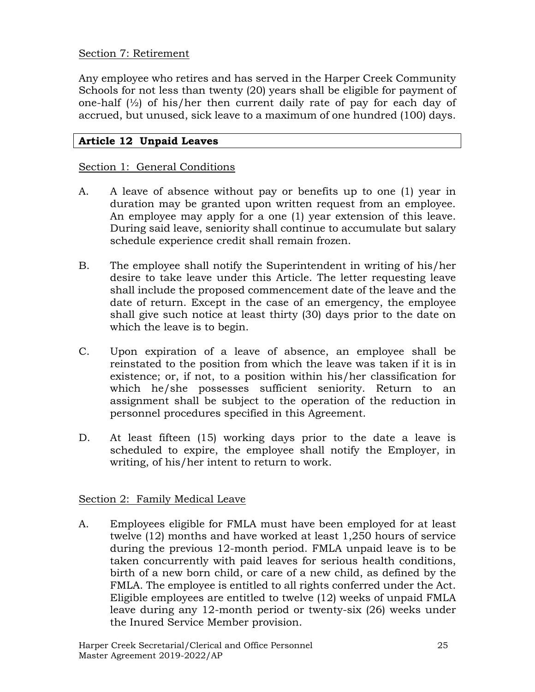#### Section 7: Retirement

Any employee who retires and has served in the Harper Creek Community Schools for not less than twenty (20) years shall be eligible for payment of one-half  $\frac{1}{2}$  of his/her then current daily rate of pay for each day of accrued, but unused, sick leave to a maximum of one hundred (100) days.

## **Article 12 Unpaid Leaves**

#### Section 1: General Conditions

- A. A leave of absence without pay or benefits up to one (1) year in duration may be granted upon written request from an employee. An employee may apply for a one (1) year extension of this leave. During said leave, seniority shall continue to accumulate but salary schedule experience credit shall remain frozen.
- B. The employee shall notify the Superintendent in writing of his/her desire to take leave under this Article. The letter requesting leave shall include the proposed commencement date of the leave and the date of return. Except in the case of an emergency, the employee shall give such notice at least thirty (30) days prior to the date on which the leave is to begin.
- C. Upon expiration of a leave of absence, an employee shall be reinstated to the position from which the leave was taken if it is in existence; or, if not, to a position within his/her classification for which he/she possesses sufficient seniority. Return to an assignment shall be subject to the operation of the reduction in personnel procedures specified in this Agreement.
- D. At least fifteen (15) working days prior to the date a leave is scheduled to expire, the employee shall notify the Employer, in writing, of his/her intent to return to work.

#### Section 2: Family Medical Leave

A. Employees eligible for FMLA must have been employed for at least twelve (12) months and have worked at least 1,250 hours of service during the previous 12-month period. FMLA unpaid leave is to be taken concurrently with paid leaves for serious health conditions, birth of a new born child, or care of a new child, as defined by the FMLA. The employee is entitled to all rights conferred under the Act. Eligible employees are entitled to twelve (12) weeks of unpaid FMLA leave during any 12-month period or twenty-six (26) weeks under the Inured Service Member provision.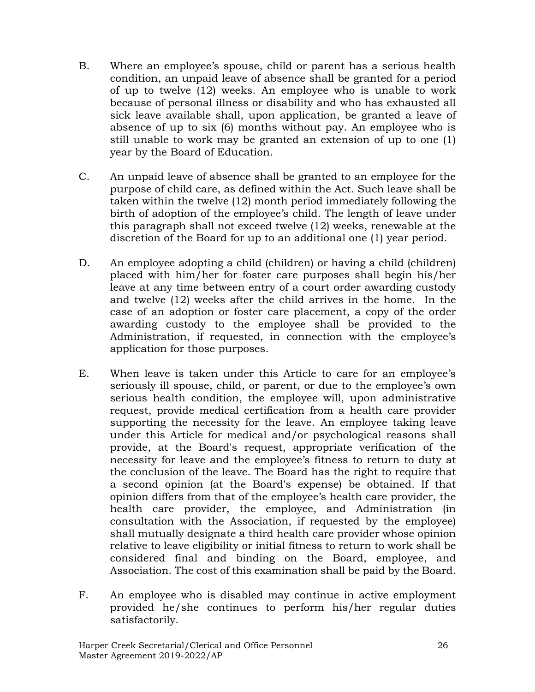- B. Where an employee's spouse, child or parent has a serious health condition, an unpaid leave of absence shall be granted for a period of up to twelve (12) weeks. An employee who is unable to work because of personal illness or disability and who has exhausted all sick leave available shall, upon application, be granted a leave of absence of up to six (6) months without pay. An employee who is still unable to work may be granted an extension of up to one (1) year by the Board of Education.
- C. An unpaid leave of absence shall be granted to an employee for the purpose of child care, as defined within the Act. Such leave shall be taken within the twelve (12) month period immediately following the birth of adoption of the employee's child. The length of leave under this paragraph shall not exceed twelve (12) weeks, renewable at the discretion of the Board for up to an additional one (1) year period.
- D. An employee adopting a child (children) or having a child (children) placed with him/her for foster care purposes shall begin his/her leave at any time between entry of a court order awarding custody and twelve (12) weeks after the child arrives in the home. In the case of an adoption or foster care placement, a copy of the order awarding custody to the employee shall be provided to the Administration, if requested, in connection with the employee's application for those purposes.
- E. When leave is taken under this Article to care for an employee's seriously ill spouse, child, or parent, or due to the employee's own serious health condition, the employee will, upon administrative request, provide medical certification from a health care provider supporting the necessity for the leave. An employee taking leave under this Article for medical and/or psychological reasons shall provide, at the Board's request, appropriate verification of the necessity for leave and the employee's fitness to return to duty at the conclusion of the leave. The Board has the right to require that a second opinion (at the Board's expense) be obtained. If that opinion differs from that of the employee's health care provider, the health care provider, the employee, and Administration (in consultation with the Association, if requested by the employee) shall mutually designate a third health care provider whose opinion relative to leave eligibility or initial fitness to return to work shall be considered final and binding on the Board, employee, and Association. The cost of this examination shall be paid by the Board.
- F. An employee who is disabled may continue in active employment provided he/she continues to perform his/her regular duties satisfactorily.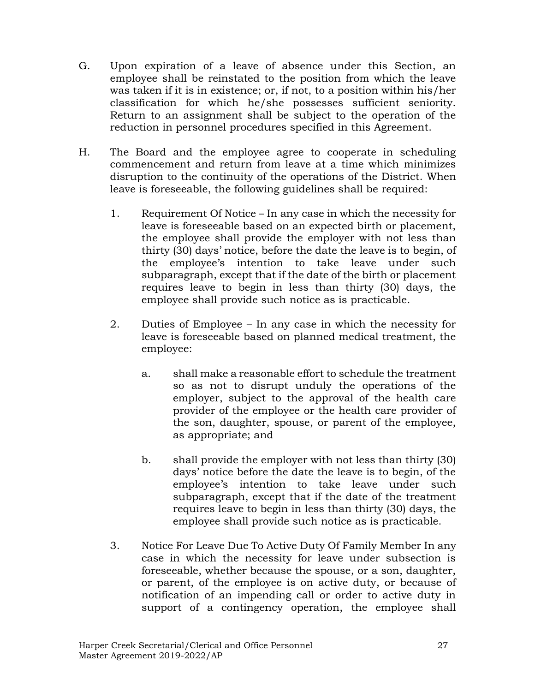- G. Upon expiration of a leave of absence under this Section, an employee shall be reinstated to the position from which the leave was taken if it is in existence; or, if not, to a position within his/her classification for which he/she possesses sufficient seniority. Return to an assignment shall be subject to the operation of the reduction in personnel procedures specified in this Agreement.
- H. The Board and the employee agree to cooperate in scheduling commencement and return from leave at a time which minimizes disruption to the continuity of the operations of the District. When leave is foreseeable, the following guidelines shall be required:
	- 1. Requirement Of Notice In any case in which the necessity for leave is foreseeable based on an expected birth or placement, the employee shall provide the employer with not less than thirty (30) days' notice, before the date the leave is to begin, of the employee's intention to take leave under such subparagraph, except that if the date of the birth or placement requires leave to begin in less than thirty (30) days, the employee shall provide such notice as is practicable.
	- 2. Duties of Employee In any case in which the necessity for leave is foreseeable based on planned medical treatment, the employee:
		- a. shall make a reasonable effort to schedule the treatment so as not to disrupt unduly the operations of the employer, subject to the approval of the health care provider of the employee or the health care provider of the son, daughter, spouse, or parent of the employee, as appropriate; and
		- b. shall provide the employer with not less than thirty (30) days' notice before the date the leave is to begin, of the employee's intention to take leave under such subparagraph, except that if the date of the treatment requires leave to begin in less than thirty (30) days, the employee shall provide such notice as is practicable.
	- 3. Notice For Leave Due To Active Duty Of Family Member In any case in which the necessity for leave under subsection is foreseeable, whether because the spouse, or a son, daughter, or parent, of the employee is on active duty, or because of notification of an impending call or order to active duty in support of a contingency operation, the employee shall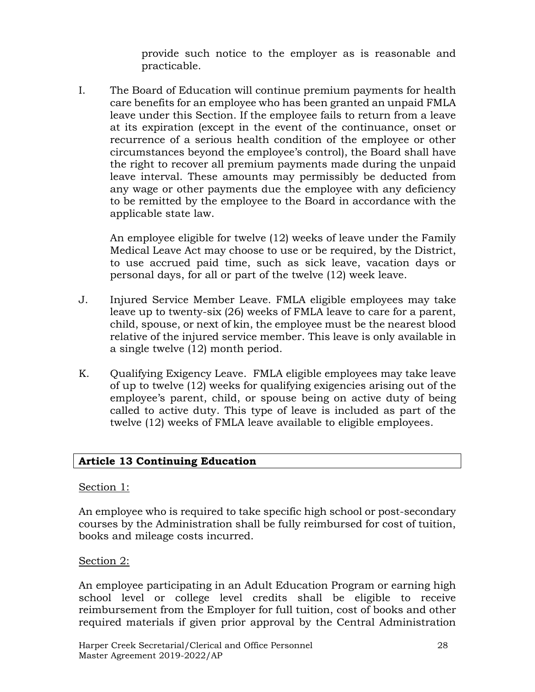provide such notice to the employer as is reasonable and practicable.

I. The Board of Education will continue premium payments for health care benefits for an employee who has been granted an unpaid FMLA leave under this Section. If the employee fails to return from a leave at its expiration (except in the event of the continuance, onset or recurrence of a serious health condition of the employee or other circumstances beyond the employee's control), the Board shall have the right to recover all premium payments made during the unpaid leave interval. These amounts may permissibly be deducted from any wage or other payments due the employee with any deficiency to be remitted by the employee to the Board in accordance with the applicable state law.

An employee eligible for twelve (12) weeks of leave under the Family Medical Leave Act may choose to use or be required, by the District, to use accrued paid time, such as sick leave, vacation days or personal days, for all or part of the twelve (12) week leave.

- J. Injured Service Member Leave. FMLA eligible employees may take leave up to twenty-six (26) weeks of FMLA leave to care for a parent, child, spouse, or next of kin, the employee must be the nearest blood relative of the injured service member. This leave is only available in a single twelve (12) month period.
- K. Qualifying Exigency Leave. FMLA eligible employees may take leave of up to twelve (12) weeks for qualifying exigencies arising out of the employee's parent, child, or spouse being on active duty of being called to active duty. This type of leave is included as part of the twelve (12) weeks of FMLA leave available to eligible employees.

## **Article 13 Continuing Education**

#### Section 1:

An employee who is required to take specific high school or post-secondary courses by the Administration shall be fully reimbursed for cost of tuition, books and mileage costs incurred.

#### Section 2:

An employee participating in an Adult Education Program or earning high school level or college level credits shall be eligible to receive reimbursement from the Employer for full tuition, cost of books and other required materials if given prior approval by the Central Administration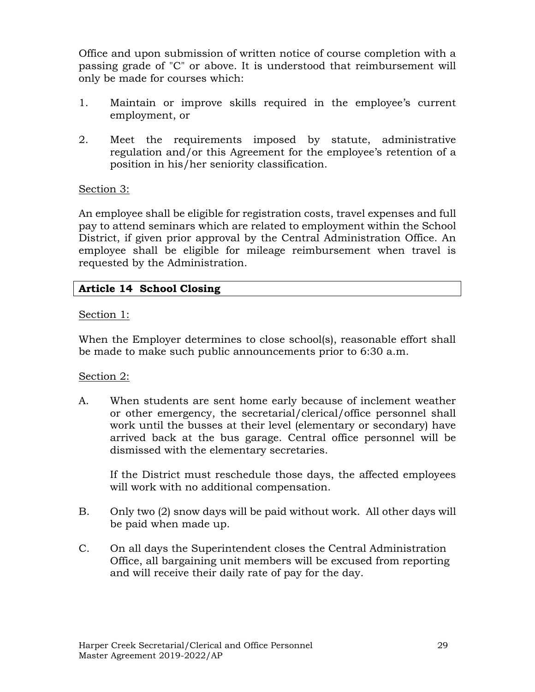Office and upon submission of written notice of course completion with a passing grade of "C" or above. It is understood that reimbursement will only be made for courses which:

- 1. Maintain or improve skills required in the employee's current employment, or
- 2. Meet the requirements imposed by statute, administrative regulation and/or this Agreement for the employee's retention of a position in his/her seniority classification.

#### Section 3:

An employee shall be eligible for registration costs, travel expenses and full pay to attend seminars which are related to employment within the School District, if given prior approval by the Central Administration Office. An employee shall be eligible for mileage reimbursement when travel is requested by the Administration.

#### **Article 14 School Closing**

#### Section 1:

When the Employer determines to close school(s), reasonable effort shall be made to make such public announcements prior to 6:30 a.m.

#### Section 2:

A. When students are sent home early because of inclement weather or other emergency, the secretarial/clerical/office personnel shall work until the busses at their level (elementary or secondary) have arrived back at the bus garage. Central office personnel will be dismissed with the elementary secretaries.

If the District must reschedule those days, the affected employees will work with no additional compensation.

- B. Only two (2) snow days will be paid without work. All other days will be paid when made up.
- C. On all days the Superintendent closes the Central Administration Office, all bargaining unit members will be excused from reporting and will receive their daily rate of pay for the day.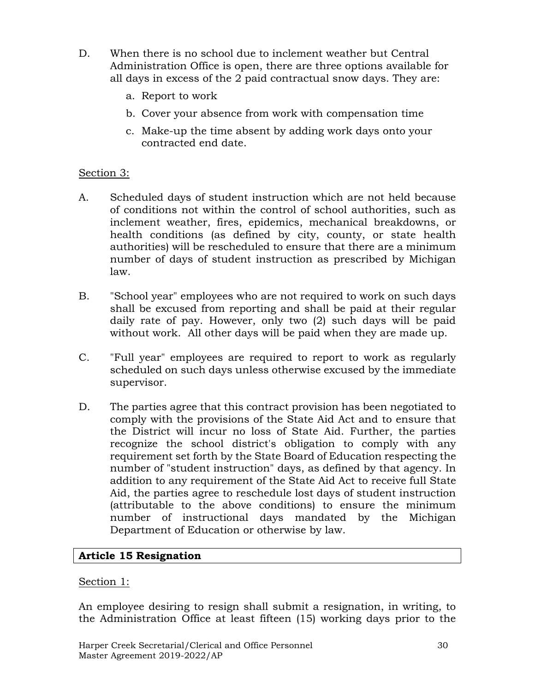- D. When there is no school due to inclement weather but Central Administration Office is open, there are three options available for all days in excess of the 2 paid contractual snow days. They are:
	- a. Report to work
	- b. Cover your absence from work with compensation time
	- c. Make-up the time absent by adding work days onto your contracted end date.

## Section 3:

- A. Scheduled days of student instruction which are not held because of conditions not within the control of school authorities, such as inclement weather, fires, epidemics, mechanical breakdowns, or health conditions (as defined by city, county, or state health authorities) will be rescheduled to ensure that there are a minimum number of days of student instruction as prescribed by Michigan law.
- B. "School year" employees who are not required to work on such days shall be excused from reporting and shall be paid at their regular daily rate of pay. However, only two (2) such days will be paid without work. All other days will be paid when they are made up.
- C. "Full year" employees are required to report to work as regularly scheduled on such days unless otherwise excused by the immediate supervisor.
- D. The parties agree that this contract provision has been negotiated to comply with the provisions of the State Aid Act and to ensure that the District will incur no loss of State Aid. Further, the parties recognize the school district's obligation to comply with any requirement set forth by the State Board of Education respecting the number of "student instruction" days, as defined by that agency. In addition to any requirement of the State Aid Act to receive full State Aid, the parties agree to reschedule lost days of student instruction (attributable to the above conditions) to ensure the minimum number of instructional days mandated by the Michigan Department of Education or otherwise by law.

## **Article 15 Resignation**

#### Section 1:

An employee desiring to resign shall submit a resignation, in writing, to the Administration Office at least fifteen (15) working days prior to the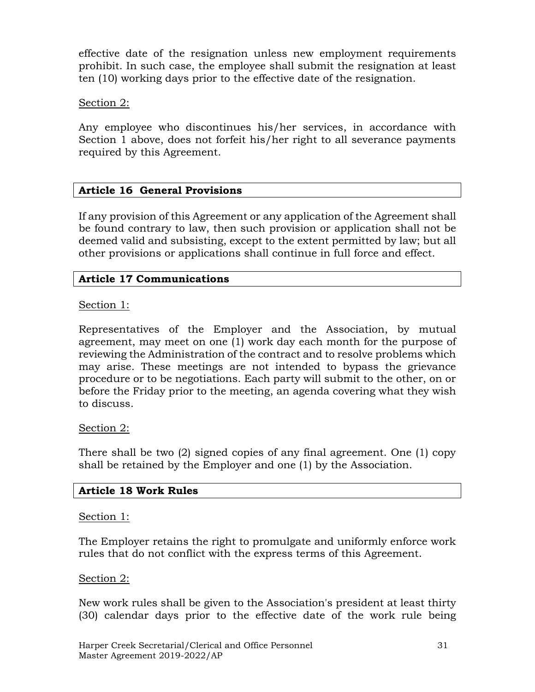effective date of the resignation unless new employment requirements prohibit. In such case, the employee shall submit the resignation at least ten (10) working days prior to the effective date of the resignation.

#### Section 2:

Any employee who discontinues his/her services, in accordance with Section 1 above, does not forfeit his/her right to all severance payments required by this Agreement.

#### **Article 16 General Provisions**

If any provision of this Agreement or any application of the Agreement shall be found contrary to law, then such provision or application shall not be deemed valid and subsisting, except to the extent permitted by law; but all other provisions or applications shall continue in full force and effect.

#### **Article 17 Communications**

#### Section 1:

Representatives of the Employer and the Association, by mutual agreement, may meet on one (1) work day each month for the purpose of reviewing the Administration of the contract and to resolve problems which may arise. These meetings are not intended to bypass the grievance procedure or to be negotiations. Each party will submit to the other, on or before the Friday prior to the meeting, an agenda covering what they wish to discuss.

#### Section 2:

There shall be two (2) signed copies of any final agreement. One (1) copy shall be retained by the Employer and one (1) by the Association.

#### **Article 18 Work Rules**

#### Section 1:

The Employer retains the right to promulgate and uniformly enforce work rules that do not conflict with the express terms of this Agreement.

#### Section 2:

New work rules shall be given to the Association's president at least thirty (30) calendar days prior to the effective date of the work rule being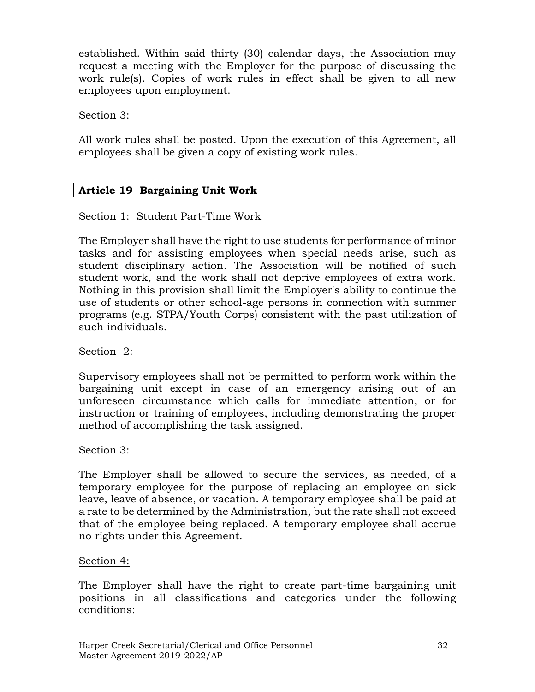established. Within said thirty (30) calendar days, the Association may request a meeting with the Employer for the purpose of discussing the work rule(s). Copies of work rules in effect shall be given to all new employees upon employment.

#### Section 3:

All work rules shall be posted. Upon the execution of this Agreement, all employees shall be given a copy of existing work rules.

## **Article 19 Bargaining Unit Work**

#### Section 1: Student Part-Time Work

The Employer shall have the right to use students for performance of minor tasks and for assisting employees when special needs arise, such as student disciplinary action. The Association will be notified of such student work, and the work shall not deprive employees of extra work. Nothing in this provision shall limit the Employer's ability to continue the use of students or other school-age persons in connection with summer programs (e.g. STPA/Youth Corps) consistent with the past utilization of such individuals.

#### Section 2:

Supervisory employees shall not be permitted to perform work within the bargaining unit except in case of an emergency arising out of an unforeseen circumstance which calls for immediate attention, or for instruction or training of employees, including demonstrating the proper method of accomplishing the task assigned.

#### Section 3:

The Employer shall be allowed to secure the services, as needed, of a temporary employee for the purpose of replacing an employee on sick leave, leave of absence, or vacation. A temporary employee shall be paid at a rate to be determined by the Administration, but the rate shall not exceed that of the employee being replaced. A temporary employee shall accrue no rights under this Agreement.

#### Section 4:

The Employer shall have the right to create part-time bargaining unit positions in all classifications and categories under the following conditions: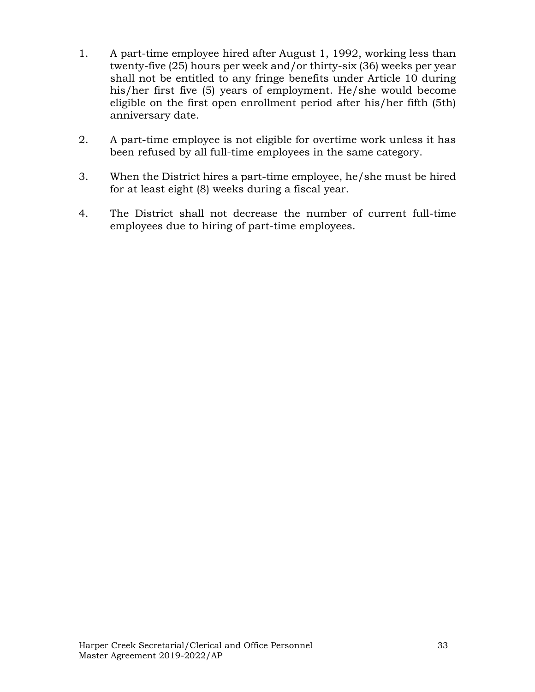- 1. A part-time employee hired after August 1, 1992, working less than twenty-five (25) hours per week and/or thirty-six (36) weeks per year shall not be entitled to any fringe benefits under Article 10 during his/her first five (5) years of employment. He/she would become eligible on the first open enrollment period after his/her fifth (5th) anniversary date.
- 2. A part-time employee is not eligible for overtime work unless it has been refused by all full-time employees in the same category.
- 3. When the District hires a part-time employee, he/she must be hired for at least eight (8) weeks during a fiscal year.
- 4. The District shall not decrease the number of current full-time employees due to hiring of part-time employees.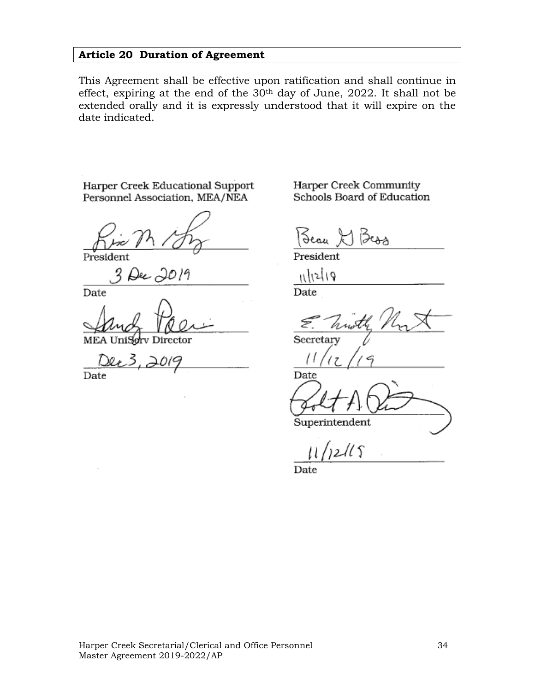## **Article 20 Duration of Agreement**

This Agreement shall be effective upon ratification and shall continue in effect, expiring at the end of the 30th day of June, 2022. It shall not be extended orally and it is expressly understood that it will expire on the date indicated.

Harper Creek Educational Support Personnel Association, MEA/NEA

Preside

Date

MEA Director

Date

Harper Creek Community Schools Board of Education

Jean-

President

وراءداره

Date

Secretary

Date Superintendent

 $2115$ 

Date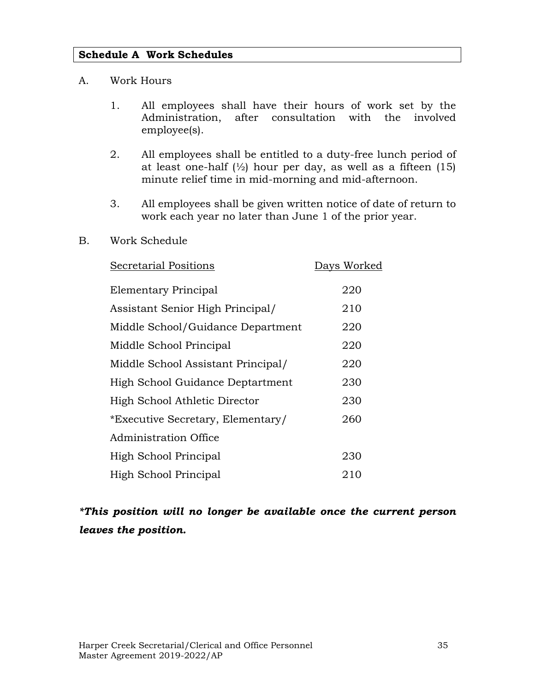#### **Schedule A Work Schedules**

#### A. Work Hours

- 1. All employees shall have their hours of work set by the Administration, after consultation with the involved employee(s).
- 2. All employees shall be entitled to a duty-free lunch period of at least one-half  $\frac{1}{2}$  hour per day, as well as a fifteen  $(15)$ minute relief time in mid-morning and mid-afternoon.
- 3. All employees shall be given written notice of date of return to work each year no later than June 1 of the prior year.

#### B. Work Schedule

| <b>Secretarial Positions</b>       | Days Worked |
|------------------------------------|-------------|
| Elementary Principal               | 220         |
| Assistant Senior High Principal/   | 210         |
| Middle School/Guidance Department  | 220         |
| Middle School Principal            | 220         |
| Middle School Assistant Principal/ | 220         |
| High School Guidance Deptartment   | 230         |
| High School Athletic Director      | 230         |
| *Executive Secretary, Elementary/  | 260         |
| Administration Office              |             |
| High School Principal              | 230         |
| High School Principal              | 210         |

# *\*This position will no longer be available once the current person leaves the position.*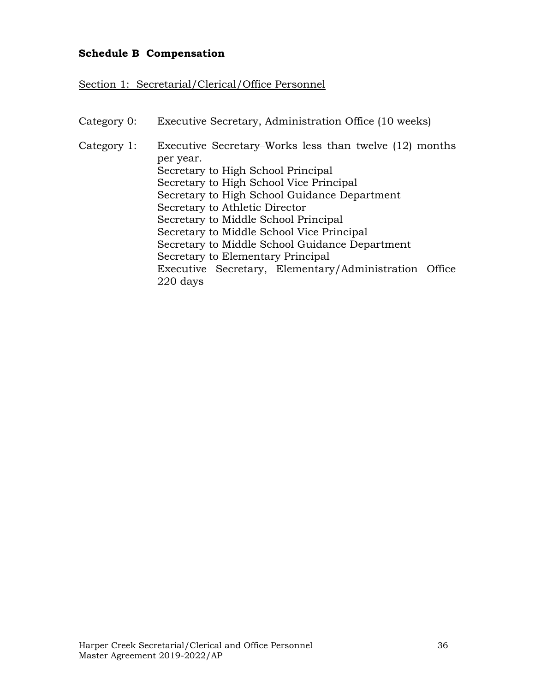## **Schedule B Compensation**

Section 1: Secretarial/Clerical/Office Personnel

| Category 0: | Executive Secretary, Administration Office (10 weeks)               |  |  |
|-------------|---------------------------------------------------------------------|--|--|
| Category 1: | Executive Secretary–Works less than twelve (12) months<br>per year. |  |  |
|             | Secretary to High School Principal                                  |  |  |
|             | Secretary to High School Vice Principal                             |  |  |
|             | Secretary to High School Guidance Department                        |  |  |
|             | Secretary to Athletic Director                                      |  |  |
|             | Secretary to Middle School Principal                                |  |  |
|             | Secretary to Middle School Vice Principal                           |  |  |
|             | Secretary to Middle School Guidance Department                      |  |  |
|             | Secretary to Elementary Principal                                   |  |  |
|             | Executive Secretary, Elementary/Administration Office               |  |  |
|             | 220 days                                                            |  |  |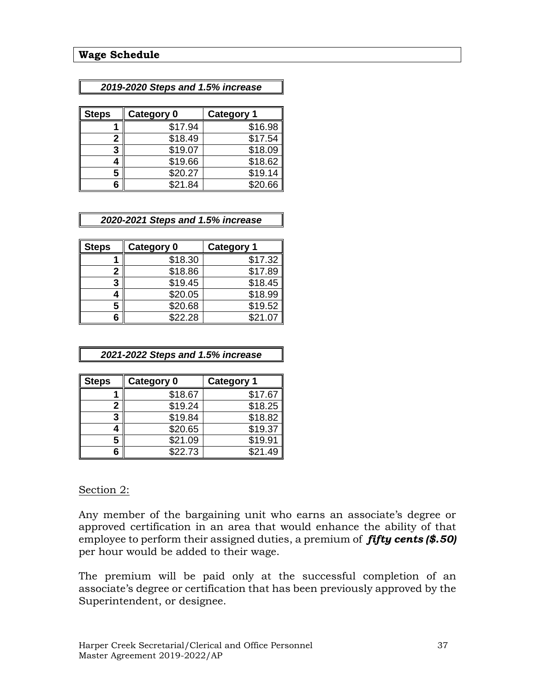#### *2019-2020 Steps and 1.5% increase*

| <b>Steps</b> | <b>Category 0</b> | <b>Category 1</b> |
|--------------|-------------------|-------------------|
|              | \$17.94           | \$16.98           |
| 2            | \$18.49           | \$17.54           |
| 3            | \$19.07           | \$18.09           |
|              | \$19.66           | \$18.62           |
| 5            | \$20.27           | \$19.14           |
| հ            | \$21.84           | \$20.66           |

#### *2020-2021 Steps and 1.5% increase*

| <b>Steps</b> | <b>Category 0</b> | <b>Category 1</b> |
|--------------|-------------------|-------------------|
|              | \$18.30           | \$17.32           |
| 2            | \$18.86           | \$17.89           |
| 3            | \$19.45           | \$18.45           |
|              | \$20.05           | \$18.99           |
| 5            | \$20.68           | \$19.52           |
|              | \$22.28           | \$21.07           |

#### *2021-2022 Steps and 1.5% increase*

| <b>Steps</b> | Category 0 | <b>Category 1</b> |
|--------------|------------|-------------------|
|              | \$18.67    | \$17.67           |
|              | \$19.24    | \$18.25           |
| 3            | \$19.84    | \$18.82           |
|              | \$20.65    | \$19.37           |
| 5            | \$21.09    | \$19.91           |
| հ            | \$22.73    | \$21.49           |

#### Section 2:

Any member of the bargaining unit who earns an associate's degree or approved certification in an area that would enhance the ability of that employee to perform their assigned duties, a premium of *fifty cents (\$.50)*  per hour would be added to their wage.

The premium will be paid only at the successful completion of an associate's degree or certification that has been previously approved by the Superintendent, or designee.